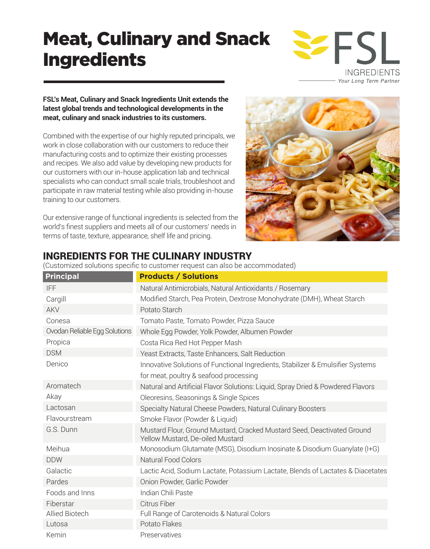# Meat, Culinary and Snack Ingredients



### **FSL's Meat, Culinary and Snack Ingredients Unit extends the latest global trends and technological developments in the meat, culinary and snack industries to its customers.**

Combined with the expertise of our highly reputed principals, we work in close collaboration with our customers to reduce their manufacturing costs and to optimize their existing processes and recipes. We also add value by developing new products for our customers with our in-house application lab and technical specialists who can conduct small scale trials, troubleshoot and participate in raw material testing while also providing in-house training to our customers.

Our extensive range of functional ingredients is selected from the world's finest suppliers and meets all of our customers' needs in terms of taste, texture, appearance, shelf life and pricing.



# INGREDIENTS FOR THE CULINARY INDUSTRY

(Customized solutions specific to customer request can also be accommodated)

| <b>Principal</b>              | <b>Products / Solutions</b>                                                                                 |
|-------------------------------|-------------------------------------------------------------------------------------------------------------|
| <b>IFF</b>                    | Natural Antimicrobials, Natural Antioxidants / Rosemary                                                     |
| Cargill                       | Modified Starch, Pea Protein, Dextrose Monohydrate (DMH), Wheat Starch                                      |
| <b>AKV</b>                    | Potato Starch                                                                                               |
| Conesa                        | Tomato Paste, Tomato Powder, Pizza Sauce                                                                    |
| Ovodan Reliable Egg Solutions | Whole Egg Powder, Yolk Powder, Albumen Powder                                                               |
| Propica                       | Costa Rica Red Hot Pepper Mash                                                                              |
| <b>DSM</b>                    | Yeast Extracts, Taste Enhancers, Salt Reduction                                                             |
| Denico                        | Innovative Solutions of Functional Ingredients, Stabilizer & Emulsifier Systems                             |
|                               | for meat, poultry & seafood processing                                                                      |
| Aromatech                     | Natural and Artificial Flavor Solutions: Liquid, Spray Dried & Powdered Flavors                             |
| Akay                          | Oleoresins, Seasonings & Single Spices                                                                      |
| Lactosan                      | Specialty Natural Cheese Powders, Natural Culinary Boosters                                                 |
| Flavourstream                 | Smoke Flavor (Powder & Liquid)                                                                              |
| G.S. Dunn                     | Mustard Flour, Ground Mustard, Cracked Mustard Seed, Deactivated Ground<br>Yellow Mustard, De-oiled Mustard |
| Meihua                        | Monosodium Glutamate (MSG), Disodium Inosinate & Disodium Guanylate (I+G)                                   |
| <b>DDW</b>                    | Natural Food Colors                                                                                         |
| Galactic                      | Lactic Acid, Sodium Lactate, Potassium Lactate, Blends of Lactates & Diacetates                             |
| Pardes                        | Onion Powder, Garlic Powder                                                                                 |
| Foods and Inns                | Indian Chili Paste                                                                                          |
| Fiberstar                     | Citrus Fiber                                                                                                |
| Allied Biotech                | Full Range of Carotenoids & Natural Colors                                                                  |
| Lutosa                        | Potato Flakes                                                                                               |
| Kemin                         | Preservatives                                                                                               |